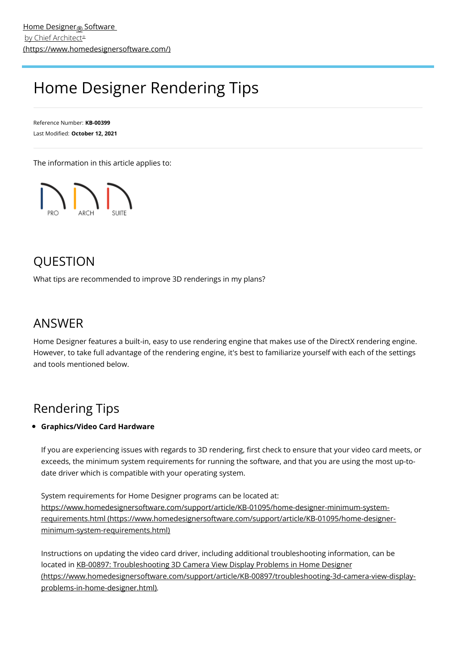# Home Designer Rendering Tips

Reference Number: **KB-00399** Last Modified: **October 12, 2021**

The information in this article applies to:



### **OUESTION**

What tips are recommended to improve 3D renderings in my plans?

### ANSWER

Home Designer features a built-in, easy to use rendering engine that makes use of the DirectX rendering engine. However, to take full advantage of the rendering engine, it's best to familiarize yourself with each of the settings and tools mentioned below.

## Rendering Tips

### **Graphics/Video Card Hardware**

If you are experiencing issues with regards to 3D rendering, first check to ensure that your video card meets, or exceeds, the minimum system requirements for running the software, and that you are using the most up-todate driver which is compatible with your operating system.

System requirements for Home Designer programs can be located at: [https://www.homedesignersoftware.com/support/article/KB-01095/home-designer-minimum-system](https://www.homedesignersoftware.com/support/article/KB-01095/home-designer-minimum-system-requirements.html)requirements.html (https://www.homedesignersoftware.com/support/article/KB-01095/home-designerminimum-system-requirements.html)

Instructions on updating the video card driver, including additional troubleshooting information, can be located in KB-00897: Troubleshooting 3D Camera View Display Problems in Home Designer [\(https://www.homedesignersoftware.com/support/article/KB-00897/troubleshooting-3d-camera-view-display](https://www.homedesignersoftware.com/support/article/KB-00897/troubleshooting-3d-camera-view-display-problems-in-home-designer.html)problems-in-home-designer.html).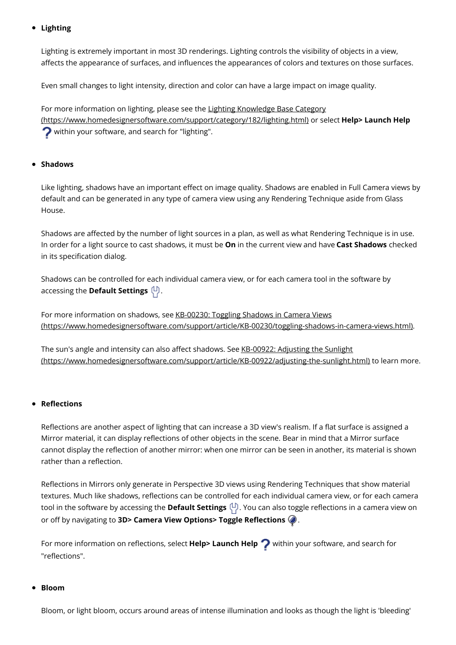#### **Lighting**

Lighting is extremely important in most 3D renderings. Lighting controls the visibility of objects in a view, affects the appearance of surfaces, and influences the appearances of colors and textures on those surfaces.

Even small changes to light intensity, direction and color can have a large impact on image quality.

For more information on lighting, please see the Lighting Knowledge Base Category [\(https://www.homedesignersoftware.com/support/category/182/lighting.html\)](https://www.homedesignersoftware.com/support/category/182/lighting.html) or select **Help> Launch Help ?** within your software, and search for "lighting".

#### **Shadows**

Like lighting, shadows have an important effect on image quality. Shadows are enabled in Full Camera views by default and can be generated in any type of camera view using any Rendering Technique aside from Glass House.

Shadows are affected by the number of light sources in a plan, as well as what Rendering Technique is in use. In order for a light source to cast shadows, it must be **On** in the current view and have **Cast Shadows** checked in its specification dialog.

Shadows can be controlled for each individual camera view, or for each camera tool in the software by accessing the **Default Settings**  $\left(\frac{1}{2}\right)$ .

For more information on shadows, see KB-00230: Toggling Shadows in Camera Views [\(https://www.homedesignersoftware.com/support/article/KB-00230/toggling-shadows-in-camera-views.html\)](https://www.homedesignersoftware.com/support/article/KB-00230/toggling-shadows-in-camera-views.html).

The sun's angle and intensity can also affect shadows. See KB-00922: Adjusting the Sunlight [\(https://www.homedesignersoftware.com/support/article/KB-00922/adjusting-the-sunlight.html\)](https://www.homedesignersoftware.com/support/article/KB-00922/adjusting-the-sunlight.html) to learn more.

#### **Reflections**

Reflections are another aspect of lighting that can increase a 3D view's realism. If a flat surface is assigned a Mirror material, it can display reflections of other objects in the scene. Bear in mind that a Mirror surface cannot display the reflection of another mirror: when one mirror can be seen in another, its material is shown rather than a reflection.

Reflections in Mirrors only generate in Perspective 3D views using Rendering Techniques that show material textures. Much like shadows, reflections can be controlled for each individual camera view, or for each camera tool in the software by accessing the **Default Settings** (D). You can also toggle reflections in a camera view on or off by navigating to **3D> Camera View Options> Toggle Reflections** .

For more information on reflections, select **Help> Launch Help** within your software, and search for "reflections".

#### **Bloom**

Bloom, or light bloom, occurs around areas of intense illumination and looks as though the light is 'bleeding'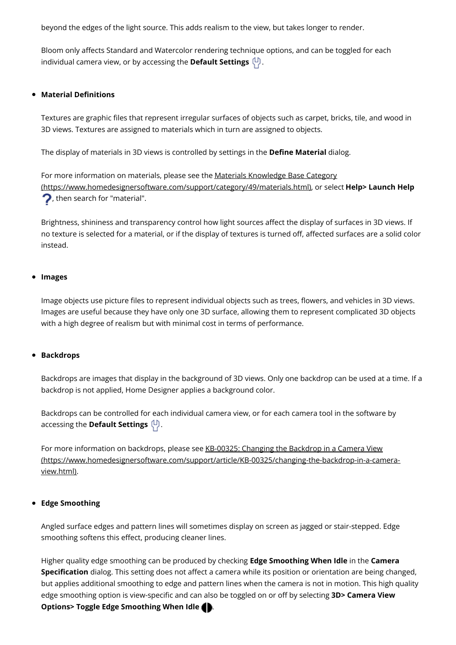beyond the edges of the light source. This adds realism to the view, but takes longer to render.

Bloom only affects Standard and Watercolor rendering technique options, and can be toggled for each individual camera view, or by accessing the **Default Settings**  $\begin{pmatrix} 1 \\ 1 \end{pmatrix}$ .

#### **Material Definitions**

Textures are graphic files that represent irregular surfaces of objects such as carpet, bricks, tile, and wood in 3D views. Textures are assigned to materials which in turn are assigned to objects.

The display of materials in 3D views is controlled by settings in the **Define Material** dialog.

For more information on materials, please see the Materials Knowledge Base Category [\(https://www.homedesignersoftware.com/support/category/49/materials.html\),](https://www.homedesignersoftware.com/support/category/49/materials.html) or select **Help> Launch Help** , then search for "material".

Brightness, shininess and transparency control how light sources affect the display of surfaces in 3D views. If no texture is selected for a material, or if the display of textures is turned off, affected surfaces are a solid color instead.

#### **Images**

Image objects use picture files to represent individual objects such as trees, flowers, and vehicles in 3D views. Images are useful because they have only one 3D surface, allowing them to represent complicated 3D objects with a high degree of realism but with minimal cost in terms of performance.

#### **Backdrops**

Backdrops are images that display in the background of 3D views. Only one backdrop can be used at a time. If a backdrop is not applied, Home Designer applies a background color.

Backdrops can be controlled for each individual camera view, or for each camera tool in the software by accessing the **Default Settings**  $\left(\frac{1}{2}\right)$ .

For more information on backdrops, please see KB-00325: Changing the Backdrop in a Camera View [\(https://www.homedesignersoftware.com/support/article/KB-00325/changing-the-backdrop-in-a-camera](https://www.homedesignersoftware.com/support/article/KB-00325/changing-the-backdrop-in-a-camera-view.html)view.html).

#### **Edge Smoothing**

Angled surface edges and pattern lines will sometimes display on screen as jagged or stair-stepped. Edge smoothing softens this effect, producing cleaner lines.

Higher quality edge smoothing can be produced by checking **Edge Smoothing When Idle** in the **Camera Specification** dialog. This setting does not affect a camera while its position or orientation are being changed, but applies additional smoothing to edge and pattern lines when the camera is not in motion. This high quality edge smoothing option is view-specific and can also be toggled on or off by selecting **3D> Camera View Options> Toggle Edge Smoothing When Idle** .